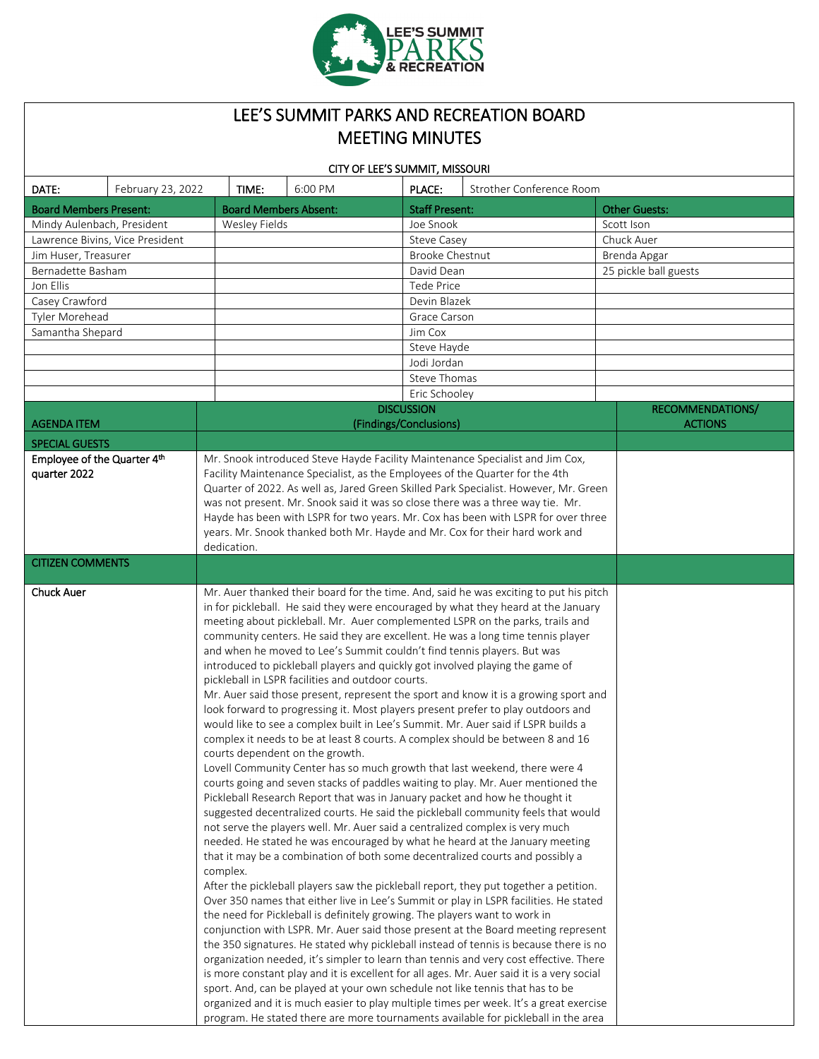

# LEE'S SUMMIT PARKS AND RECREATION BOARD MEETING MINUTES

| CITY OF LEE'S SUMMIT, MISSOURI              |                   |                                                                                                                                                                                                                                                                                                                                                                                                                                                                                                                                                                                                                                                                                                                                                                                                                                                                                                                                                                                                                                                                                                                                                                                                                                                                                                                                                                                                                                                                                                                                                                                                                                                                                                                                                                                                                                                                                                                                                                                                                                                                                                                                                                                                                                                                                                                                                                                                                                                             |                                                                                                                                                                                                                                                                                                                                                                                                                                                                                                             |              |                        |                          |  |                       |  |
|---------------------------------------------|-------------------|-------------------------------------------------------------------------------------------------------------------------------------------------------------------------------------------------------------------------------------------------------------------------------------------------------------------------------------------------------------------------------------------------------------------------------------------------------------------------------------------------------------------------------------------------------------------------------------------------------------------------------------------------------------------------------------------------------------------------------------------------------------------------------------------------------------------------------------------------------------------------------------------------------------------------------------------------------------------------------------------------------------------------------------------------------------------------------------------------------------------------------------------------------------------------------------------------------------------------------------------------------------------------------------------------------------------------------------------------------------------------------------------------------------------------------------------------------------------------------------------------------------------------------------------------------------------------------------------------------------------------------------------------------------------------------------------------------------------------------------------------------------------------------------------------------------------------------------------------------------------------------------------------------------------------------------------------------------------------------------------------------------------------------------------------------------------------------------------------------------------------------------------------------------------------------------------------------------------------------------------------------------------------------------------------------------------------------------------------------------------------------------------------------------------------------------------------------------|-------------------------------------------------------------------------------------------------------------------------------------------------------------------------------------------------------------------------------------------------------------------------------------------------------------------------------------------------------------------------------------------------------------------------------------------------------------------------------------------------------------|--------------|------------------------|--------------------------|--|-----------------------|--|
| DATE:                                       | February 23, 2022 |                                                                                                                                                                                                                                                                                                                                                                                                                                                                                                                                                                                                                                                                                                                                                                                                                                                                                                                                                                                                                                                                                                                                                                                                                                                                                                                                                                                                                                                                                                                                                                                                                                                                                                                                                                                                                                                                                                                                                                                                                                                                                                                                                                                                                                                                                                                                                                                                                                                             | TIME:                                                                                                                                                                                                                                                                                                                                                                                                                                                                                                       | 6:00 PM      | PLACE:                 | Strother Conference Room |  |                       |  |
| <b>Board Members Present:</b>               |                   |                                                                                                                                                                                                                                                                                                                                                                                                                                                                                                                                                                                                                                                                                                                                                                                                                                                                                                                                                                                                                                                                                                                                                                                                                                                                                                                                                                                                                                                                                                                                                                                                                                                                                                                                                                                                                                                                                                                                                                                                                                                                                                                                                                                                                                                                                                                                                                                                                                                             | <b>Board Members Absent:</b>                                                                                                                                                                                                                                                                                                                                                                                                                                                                                |              | <b>Staff Present:</b>  |                          |  | <b>Other Guests:</b>  |  |
| Mindy Aulenbach, President                  |                   |                                                                                                                                                                                                                                                                                                                                                                                                                                                                                                                                                                                                                                                                                                                                                                                                                                                                                                                                                                                                                                                                                                                                                                                                                                                                                                                                                                                                                                                                                                                                                                                                                                                                                                                                                                                                                                                                                                                                                                                                                                                                                                                                                                                                                                                                                                                                                                                                                                                             | Wesley Fields                                                                                                                                                                                                                                                                                                                                                                                                                                                                                               |              | Joe Snook              |                          |  | Scott Ison            |  |
| Lawrence Bivins, Vice President             |                   |                                                                                                                                                                                                                                                                                                                                                                                                                                                                                                                                                                                                                                                                                                                                                                                                                                                                                                                                                                                                                                                                                                                                                                                                                                                                                                                                                                                                                                                                                                                                                                                                                                                                                                                                                                                                                                                                                                                                                                                                                                                                                                                                                                                                                                                                                                                                                                                                                                                             |                                                                                                                                                                                                                                                                                                                                                                                                                                                                                                             |              | Steve Casey            |                          |  | Chuck Auer            |  |
| Jim Huser, Treasurer                        |                   |                                                                                                                                                                                                                                                                                                                                                                                                                                                                                                                                                                                                                                                                                                                                                                                                                                                                                                                                                                                                                                                                                                                                                                                                                                                                                                                                                                                                                                                                                                                                                                                                                                                                                                                                                                                                                                                                                                                                                                                                                                                                                                                                                                                                                                                                                                                                                                                                                                                             |                                                                                                                                                                                                                                                                                                                                                                                                                                                                                                             |              | <b>Brooke Chestnut</b> |                          |  | Brenda Apgar          |  |
| Bernadette Basham                           |                   |                                                                                                                                                                                                                                                                                                                                                                                                                                                                                                                                                                                                                                                                                                                                                                                                                                                                                                                                                                                                                                                                                                                                                                                                                                                                                                                                                                                                                                                                                                                                                                                                                                                                                                                                                                                                                                                                                                                                                                                                                                                                                                                                                                                                                                                                                                                                                                                                                                                             |                                                                                                                                                                                                                                                                                                                                                                                                                                                                                                             |              | David Dean             |                          |  | 25 pickle ball guests |  |
| Jon Ellis                                   |                   |                                                                                                                                                                                                                                                                                                                                                                                                                                                                                                                                                                                                                                                                                                                                                                                                                                                                                                                                                                                                                                                                                                                                                                                                                                                                                                                                                                                                                                                                                                                                                                                                                                                                                                                                                                                                                                                                                                                                                                                                                                                                                                                                                                                                                                                                                                                                                                                                                                                             |                                                                                                                                                                                                                                                                                                                                                                                                                                                                                                             |              | Tede Price             |                          |  |                       |  |
| Casey Crawford                              |                   |                                                                                                                                                                                                                                                                                                                                                                                                                                                                                                                                                                                                                                                                                                                                                                                                                                                                                                                                                                                                                                                                                                                                                                                                                                                                                                                                                                                                                                                                                                                                                                                                                                                                                                                                                                                                                                                                                                                                                                                                                                                                                                                                                                                                                                                                                                                                                                                                                                                             |                                                                                                                                                                                                                                                                                                                                                                                                                                                                                                             |              | Devin Blazek           |                          |  |                       |  |
| Tyler Morehead                              |                   |                                                                                                                                                                                                                                                                                                                                                                                                                                                                                                                                                                                                                                                                                                                                                                                                                                                                                                                                                                                                                                                                                                                                                                                                                                                                                                                                                                                                                                                                                                                                                                                                                                                                                                                                                                                                                                                                                                                                                                                                                                                                                                                                                                                                                                                                                                                                                                                                                                                             |                                                                                                                                                                                                                                                                                                                                                                                                                                                                                                             | Grace Carson |                        |                          |  |                       |  |
| Samantha Shepard                            |                   |                                                                                                                                                                                                                                                                                                                                                                                                                                                                                                                                                                                                                                                                                                                                                                                                                                                                                                                                                                                                                                                                                                                                                                                                                                                                                                                                                                                                                                                                                                                                                                                                                                                                                                                                                                                                                                                                                                                                                                                                                                                                                                                                                                                                                                                                                                                                                                                                                                                             |                                                                                                                                                                                                                                                                                                                                                                                                                                                                                                             |              | Jim Cox                |                          |  |                       |  |
|                                             |                   |                                                                                                                                                                                                                                                                                                                                                                                                                                                                                                                                                                                                                                                                                                                                                                                                                                                                                                                                                                                                                                                                                                                                                                                                                                                                                                                                                                                                                                                                                                                                                                                                                                                                                                                                                                                                                                                                                                                                                                                                                                                                                                                                                                                                                                                                                                                                                                                                                                                             |                                                                                                                                                                                                                                                                                                                                                                                                                                                                                                             |              | Steve Hayde            |                          |  |                       |  |
|                                             |                   |                                                                                                                                                                                                                                                                                                                                                                                                                                                                                                                                                                                                                                                                                                                                                                                                                                                                                                                                                                                                                                                                                                                                                                                                                                                                                                                                                                                                                                                                                                                                                                                                                                                                                                                                                                                                                                                                                                                                                                                                                                                                                                                                                                                                                                                                                                                                                                                                                                                             |                                                                                                                                                                                                                                                                                                                                                                                                                                                                                                             |              | Jodi Jordan            |                          |  |                       |  |
|                                             |                   |                                                                                                                                                                                                                                                                                                                                                                                                                                                                                                                                                                                                                                                                                                                                                                                                                                                                                                                                                                                                                                                                                                                                                                                                                                                                                                                                                                                                                                                                                                                                                                                                                                                                                                                                                                                                                                                                                                                                                                                                                                                                                                                                                                                                                                                                                                                                                                                                                                                             | Steve Thomas                                                                                                                                                                                                                                                                                                                                                                                                                                                                                                |              |                        |                          |  |                       |  |
|                                             |                   |                                                                                                                                                                                                                                                                                                                                                                                                                                                                                                                                                                                                                                                                                                                                                                                                                                                                                                                                                                                                                                                                                                                                                                                                                                                                                                                                                                                                                                                                                                                                                                                                                                                                                                                                                                                                                                                                                                                                                                                                                                                                                                                                                                                                                                                                                                                                                                                                                                                             |                                                                                                                                                                                                                                                                                                                                                                                                                                                                                                             |              | Eric Schooley          |                          |  |                       |  |
|                                             |                   |                                                                                                                                                                                                                                                                                                                                                                                                                                                                                                                                                                                                                                                                                                                                                                                                                                                                                                                                                                                                                                                                                                                                                                                                                                                                                                                                                                                                                                                                                                                                                                                                                                                                                                                                                                                                                                                                                                                                                                                                                                                                                                                                                                                                                                                                                                                                                                                                                                                             |                                                                                                                                                                                                                                                                                                                                                                                                                                                                                                             |              | <b>DISCUSSION</b>      |                          |  | RECOMMENDATIONS/      |  |
| <b>AGENDA ITEM</b>                          |                   |                                                                                                                                                                                                                                                                                                                                                                                                                                                                                                                                                                                                                                                                                                                                                                                                                                                                                                                                                                                                                                                                                                                                                                                                                                                                                                                                                                                                                                                                                                                                                                                                                                                                                                                                                                                                                                                                                                                                                                                                                                                                                                                                                                                                                                                                                                                                                                                                                                                             |                                                                                                                                                                                                                                                                                                                                                                                                                                                                                                             |              | (Findings/Conclusions) |                          |  | <b>ACTIONS</b>        |  |
| <b>SPECIAL GUESTS</b>                       |                   |                                                                                                                                                                                                                                                                                                                                                                                                                                                                                                                                                                                                                                                                                                                                                                                                                                                                                                                                                                                                                                                                                                                                                                                                                                                                                                                                                                                                                                                                                                                                                                                                                                                                                                                                                                                                                                                                                                                                                                                                                                                                                                                                                                                                                                                                                                                                                                                                                                                             |                                                                                                                                                                                                                                                                                                                                                                                                                                                                                                             |              |                        |                          |  |                       |  |
| Employee of the Quarter 4th<br>quarter 2022 |                   |                                                                                                                                                                                                                                                                                                                                                                                                                                                                                                                                                                                                                                                                                                                                                                                                                                                                                                                                                                                                                                                                                                                                                                                                                                                                                                                                                                                                                                                                                                                                                                                                                                                                                                                                                                                                                                                                                                                                                                                                                                                                                                                                                                                                                                                                                                                                                                                                                                                             | Mr. Snook introduced Steve Hayde Facility Maintenance Specialist and Jim Cox,<br>Facility Maintenance Specialist, as the Employees of the Quarter for the 4th<br>Quarter of 2022. As well as, Jared Green Skilled Park Specialist. However, Mr. Green<br>was not present. Mr. Snook said it was so close there was a three way tie. Mr.<br>Hayde has been with LSPR for two years. Mr. Cox has been with LSPR for over three<br>years. Mr. Snook thanked both Mr. Hayde and Mr. Cox for their hard work and |              |                        |                          |  |                       |  |
|                                             |                   |                                                                                                                                                                                                                                                                                                                                                                                                                                                                                                                                                                                                                                                                                                                                                                                                                                                                                                                                                                                                                                                                                                                                                                                                                                                                                                                                                                                                                                                                                                                                                                                                                                                                                                                                                                                                                                                                                                                                                                                                                                                                                                                                                                                                                                                                                                                                                                                                                                                             | dedication.                                                                                                                                                                                                                                                                                                                                                                                                                                                                                                 |              |                        |                          |  |                       |  |
| <b>CITIZEN COMMENTS</b>                     |                   |                                                                                                                                                                                                                                                                                                                                                                                                                                                                                                                                                                                                                                                                                                                                                                                                                                                                                                                                                                                                                                                                                                                                                                                                                                                                                                                                                                                                                                                                                                                                                                                                                                                                                                                                                                                                                                                                                                                                                                                                                                                                                                                                                                                                                                                                                                                                                                                                                                                             |                                                                                                                                                                                                                                                                                                                                                                                                                                                                                                             |              |                        |                          |  |                       |  |
| <b>Chuck Auer</b>                           |                   | Mr. Auer thanked their board for the time. And, said he was exciting to put his pitch<br>in for pickleball. He said they were encouraged by what they heard at the January<br>meeting about pickleball. Mr. Auer complemented LSPR on the parks, trails and<br>community centers. He said they are excellent. He was a long time tennis player<br>and when he moved to Lee's Summit couldn't find tennis players. But was<br>introduced to pickleball players and quickly got involved playing the game of<br>pickleball in LSPR facilities and outdoor courts.<br>Mr. Auer said those present, represent the sport and know it is a growing sport and<br>look forward to progressing it. Most players present prefer to play outdoors and<br>would like to see a complex built in Lee's Summit. Mr. Auer said if LSPR builds a<br>complex it needs to be at least 8 courts. A complex should be between 8 and 16<br>courts dependent on the growth.<br>Lovell Community Center has so much growth that last weekend, there were 4<br>courts going and seven stacks of paddles waiting to play. Mr. Auer mentioned the<br>Pickleball Research Report that was in January packet and how he thought it<br>suggested decentralized courts. He said the pickleball community feels that would<br>not serve the players well. Mr. Auer said a centralized complex is very much<br>needed. He stated he was encouraged by what he heard at the January meeting<br>that it may be a combination of both some decentralized courts and possibly a<br>complex.<br>After the pickleball players saw the pickleball report, they put together a petition.<br>Over 350 names that either live in Lee's Summit or play in LSPR facilities. He stated<br>the need for Pickleball is definitely growing. The players want to work in<br>conjunction with LSPR. Mr. Auer said those present at the Board meeting represent<br>the 350 signatures. He stated why pickleball instead of tennis is because there is no<br>organization needed, it's simpler to learn than tennis and very cost effective. There<br>is more constant play and it is excellent for all ages. Mr. Auer said it is a very social<br>sport. And, can be played at your own schedule not like tennis that has to be<br>organized and it is much easier to play multiple times per week. It's a great exercise<br>program. He stated there are more tournaments available for pickleball in the area |                                                                                                                                                                                                                                                                                                                                                                                                                                                                                                             |              |                        |                          |  |                       |  |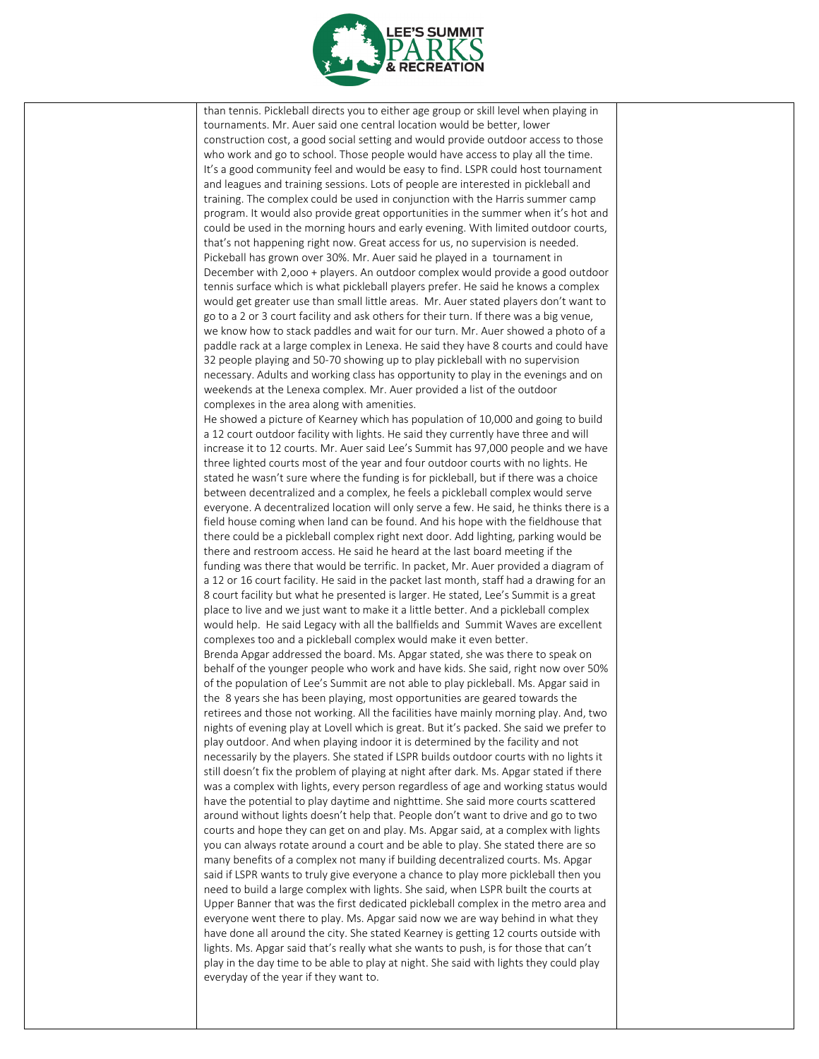

than tennis. Pickleball directs you to either age group or skill level when playing in tournaments. Mr. Auer said one central location would be better, lower construction cost, a good social setting and would provide outdoor access to those who work and go to school. Those people would have access to play all the time. It's a good community feel and would be easy to find. LSPR could host tournament and leagues and training sessions. Lots of people are interested in pickleball and training. The complex could be used in conjunction with the Harris summer camp program. It would also provide great opportunities in the summer when it's hot and could be used in the morning hours and early evening. With limited outdoor courts, that's not happening right now. Great access for us, no supervision is needed. Pickeball has grown over 30%. Mr. Auer said he played in a tournament in December with 2,ooo + players. An outdoor complex would provide a good outdoor tennis surface which is what pickleball players prefer. He said he knows a complex would get greater use than small little areas. Mr. Auer stated players don't want to go to a 2 or 3 court facility and ask others for their turn. If there was a big venue, we know how to stack paddles and wait for our turn. Mr. Auer showed a photo of a paddle rack at a large complex in Lenexa. He said they have 8 courts and could have 32 people playing and 50-70 showing up to play pickleball with no supervision necessary. Adults and working class has opportunity to play in the evenings and on weekends at the Lenexa complex. Mr. Auer provided a list of the outdoor complexes in the area along with amenities. He showed a picture of Kearney which has population of 10,000 and going to build a 12 court outdoor facility with lights. He said they currently have three and will increase it to 12 courts. Mr. Auer said Lee's Summit has 97,000 people and we have three lighted courts most of the year and four outdoor courts with no lights. He stated he wasn't sure where the funding is for pickleball, but if there was a choice between decentralized and a complex, he feels a pickleball complex would serve everyone. A decentralized location will only serve a few. He said, he thinks there is a field house coming when land can be found. And his hope with the fieldhouse that there could be a pickleball complex right next door. Add lighting, parking would be there and restroom access. He said he heard at the last board meeting if the funding was there that would be terrific. In packet, Mr. Auer provided a diagram of a 12 or 16 court facility. He said in the packet last month, staff had a drawing for an 8 court facility but what he presented is larger. He stated, Lee's Summit is a great place to live and we just want to make it a little better. And a pickleball complex would help. He said Legacy with all the ballfields and Summit Waves are excellent complexes too and a pickleball complex would make it even better. Brenda Apgar addressed the board. Ms. Apgar stated, she was there to speak on behalf of the younger people who work and have kids. She said, right now over 50% of the population of Lee's Summit are not able to play pickleball. Ms. Apgar said in the 8 years she has been playing, most opportunities are geared towards the retirees and those not working. All the facilities have mainly morning play. And, two nights of evening play at Lovell which is great. But it's packed. She said we prefer to play outdoor. And when playing indoor it is determined by the facility and not necessarily by the players. She stated if LSPR builds outdoor courts with no lights it still doesn't fix the problem of playing at night after dark. Ms. Apgar stated if there was a complex with lights, every person regardless of age and working status would have the potential to play daytime and nighttime. She said more courts scattered around without lights doesn't help that. People don't want to drive and go to two courts and hope they can get on and play. Ms. Apgar said, at a complex with lights you can always rotate around a court and be able to play. She stated there are so many benefits of a complex not many if building decentralized courts. Ms. Apgar said if LSPR wants to truly give everyone a chance to play more pickleball then you need to build a large complex with lights. She said, when LSPR built the courts at Upper Banner that was the first dedicated pickleball complex in the metro area and everyone went there to play. Ms. Apgar said now we are way behind in what they have done all around the city. She stated Kearney is getting 12 courts outside with lights. Ms. Apgar said that's really what she wants to push, is for those that can't play in the day time to be able to play at night. She said with lights they could play everyday of the year if they want to.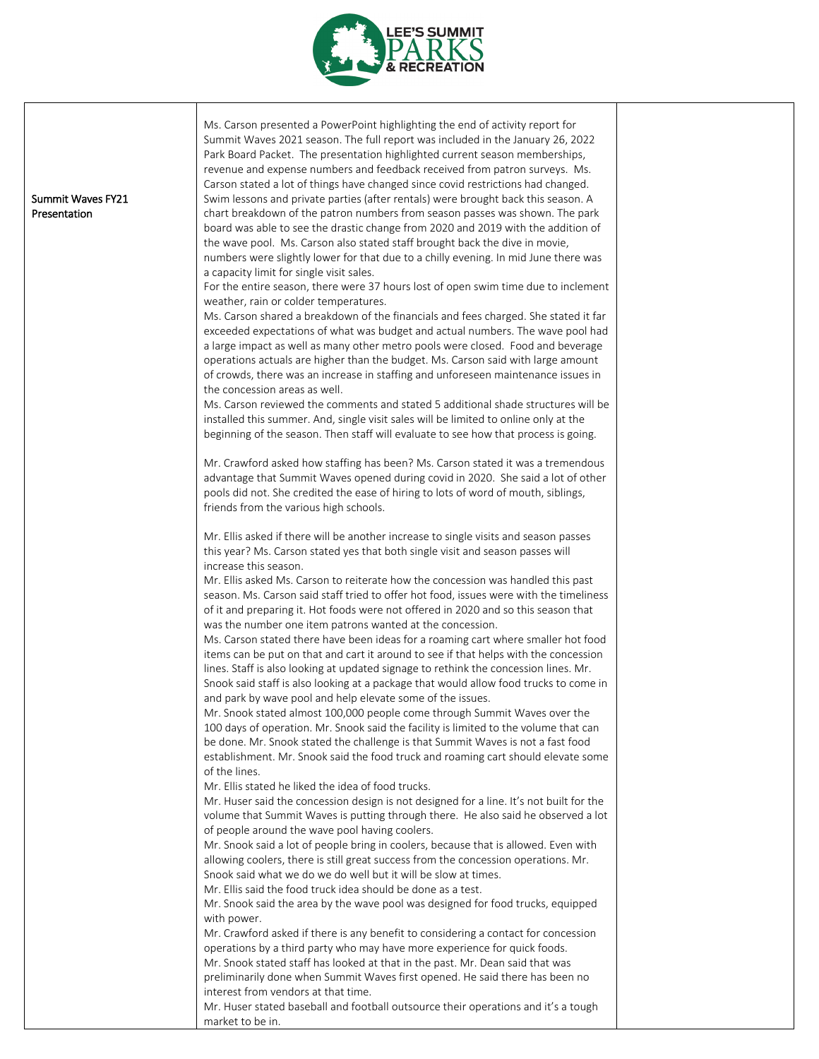

|                   | Ms. Carson presented a PowerPoint highlighting the end of activity report for                                                                                             |  |
|-------------------|---------------------------------------------------------------------------------------------------------------------------------------------------------------------------|--|
|                   | Summit Waves 2021 season. The full report was included in the January 26, 2022                                                                                            |  |
|                   | Park Board Packet. The presentation highlighted current season memberships,                                                                                               |  |
|                   | revenue and expense numbers and feedback received from patron surveys. Ms.                                                                                                |  |
|                   | Carson stated a lot of things have changed since covid restrictions had changed.                                                                                          |  |
| Summit Waves FY21 | Swim lessons and private parties (after rentals) were brought back this season. A                                                                                         |  |
| Presentation      | chart breakdown of the patron numbers from season passes was shown. The park                                                                                              |  |
|                   | board was able to see the drastic change from 2020 and 2019 with the addition of                                                                                          |  |
|                   | the wave pool. Ms. Carson also stated staff brought back the dive in movie,<br>numbers were slightly lower for that due to a chilly evening. In mid June there was        |  |
|                   | a capacity limit for single visit sales.                                                                                                                                  |  |
|                   | For the entire season, there were 37 hours lost of open swim time due to inclement                                                                                        |  |
|                   | weather, rain or colder temperatures.                                                                                                                                     |  |
|                   | Ms. Carson shared a breakdown of the financials and fees charged. She stated it far                                                                                       |  |
|                   | exceeded expectations of what was budget and actual numbers. The wave pool had                                                                                            |  |
|                   | a large impact as well as many other metro pools were closed. Food and beverage                                                                                           |  |
|                   | operations actuals are higher than the budget. Ms. Carson said with large amount                                                                                          |  |
|                   | of crowds, there was an increase in staffing and unforeseen maintenance issues in                                                                                         |  |
|                   | the concession areas as well.                                                                                                                                             |  |
|                   | Ms. Carson reviewed the comments and stated 5 additional shade structures will be<br>installed this summer. And, single visit sales will be limited to online only at the |  |
|                   | beginning of the season. Then staff will evaluate to see how that process is going.                                                                                       |  |
|                   |                                                                                                                                                                           |  |
|                   | Mr. Crawford asked how staffing has been? Ms. Carson stated it was a tremendous                                                                                           |  |
|                   | advantage that Summit Waves opened during covid in 2020. She said a lot of other                                                                                          |  |
|                   | pools did not. She credited the ease of hiring to lots of word of mouth, siblings,                                                                                        |  |
|                   | friends from the various high schools.                                                                                                                                    |  |
|                   | Mr. Ellis asked if there will be another increase to single visits and season passes                                                                                      |  |
|                   | this year? Ms. Carson stated yes that both single visit and season passes will                                                                                            |  |
|                   | increase this season.                                                                                                                                                     |  |
|                   | Mr. Ellis asked Ms. Carson to reiterate how the concession was handled this past                                                                                          |  |
|                   | season. Ms. Carson said staff tried to offer hot food, issues were with the timeliness                                                                                    |  |
|                   | of it and preparing it. Hot foods were not offered in 2020 and so this season that                                                                                        |  |
|                   | was the number one item patrons wanted at the concession.                                                                                                                 |  |
|                   | Ms. Carson stated there have been ideas for a roaming cart where smaller hot food<br>items can be put on that and cart it around to see if that helps with the concession |  |
|                   | lines. Staff is also looking at updated signage to rethink the concession lines. Mr.                                                                                      |  |
|                   | Snook said staff is also looking at a package that would allow food trucks to come in                                                                                     |  |
|                   | and park by wave pool and help elevate some of the issues.                                                                                                                |  |
|                   | Mr. Snook stated almost 100,000 people come through Summit Waves over the                                                                                                 |  |
|                   | 100 days of operation. Mr. Snook said the facility is limited to the volume that can                                                                                      |  |
|                   | be done. Mr. Snook stated the challenge is that Summit Waves is not a fast food                                                                                           |  |
|                   | establishment. Mr. Snook said the food truck and roaming cart should elevate some                                                                                         |  |
|                   | of the lines.                                                                                                                                                             |  |
|                   | Mr. Ellis stated he liked the idea of food trucks.<br>Mr. Huser said the concession design is not designed for a line. It's not built for the                             |  |
|                   | volume that Summit Waves is putting through there. He also said he observed a lot                                                                                         |  |
|                   | of people around the wave pool having coolers.                                                                                                                            |  |
|                   | Mr. Snook said a lot of people bring in coolers, because that is allowed. Even with                                                                                       |  |
|                   | allowing coolers, there is still great success from the concession operations. Mr.                                                                                        |  |
|                   | Snook said what we do we do well but it will be slow at times.                                                                                                            |  |
|                   | Mr. Ellis said the food truck idea should be done as a test.                                                                                                              |  |
|                   | Mr. Snook said the area by the wave pool was designed for food trucks, equipped                                                                                           |  |
|                   | with power.                                                                                                                                                               |  |
|                   | Mr. Crawford asked if there is any benefit to considering a contact for concession<br>operations by a third party who may have more experience for quick foods.           |  |
|                   | Mr. Snook stated staff has looked at that in the past. Mr. Dean said that was                                                                                             |  |
|                   | preliminarily done when Summit Waves first opened. He said there has been no                                                                                              |  |
|                   | interest from vendors at that time.                                                                                                                                       |  |
|                   | Mr. Huser stated baseball and football outsource their operations and it's a tough                                                                                        |  |
|                   | market to be in.                                                                                                                                                          |  |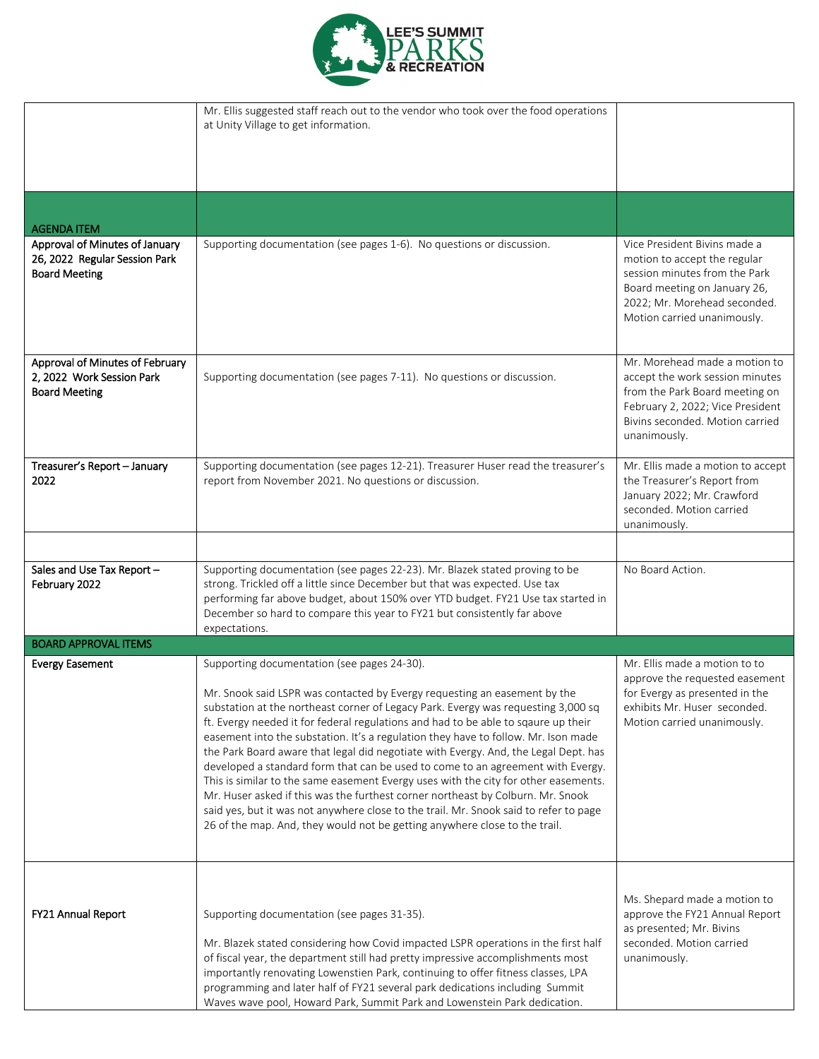

|                                                                                         | Mr. Ellis suggested staff reach out to the vendor who took over the food operations<br>at Unity Village to get information.                                                                                                                                                                                                                                                                                                                                                                                                                                                                                                                                                                                                                                                                                                                                                                                          |                                                                                                                                                                                              |
|-----------------------------------------------------------------------------------------|----------------------------------------------------------------------------------------------------------------------------------------------------------------------------------------------------------------------------------------------------------------------------------------------------------------------------------------------------------------------------------------------------------------------------------------------------------------------------------------------------------------------------------------------------------------------------------------------------------------------------------------------------------------------------------------------------------------------------------------------------------------------------------------------------------------------------------------------------------------------------------------------------------------------|----------------------------------------------------------------------------------------------------------------------------------------------------------------------------------------------|
|                                                                                         |                                                                                                                                                                                                                                                                                                                                                                                                                                                                                                                                                                                                                                                                                                                                                                                                                                                                                                                      |                                                                                                                                                                                              |
|                                                                                         |                                                                                                                                                                                                                                                                                                                                                                                                                                                                                                                                                                                                                                                                                                                                                                                                                                                                                                                      |                                                                                                                                                                                              |
|                                                                                         |                                                                                                                                                                                                                                                                                                                                                                                                                                                                                                                                                                                                                                                                                                                                                                                                                                                                                                                      |                                                                                                                                                                                              |
| <b>AGENDA ITEM</b>                                                                      |                                                                                                                                                                                                                                                                                                                                                                                                                                                                                                                                                                                                                                                                                                                                                                                                                                                                                                                      |                                                                                                                                                                                              |
| Approval of Minutes of January<br>26, 2022 Regular Session Park<br><b>Board Meeting</b> | Supporting documentation (see pages 1-6). No questions or discussion.                                                                                                                                                                                                                                                                                                                                                                                                                                                                                                                                                                                                                                                                                                                                                                                                                                                | Vice President Bivins made a<br>motion to accept the regular<br>session minutes from the Park<br>Board meeting on January 26,<br>2022; Mr. Morehead seconded.<br>Motion carried unanimously. |
| Approval of Minutes of February<br>2, 2022 Work Session Park<br><b>Board Meeting</b>    | Supporting documentation (see pages 7-11). No questions or discussion.                                                                                                                                                                                                                                                                                                                                                                                                                                                                                                                                                                                                                                                                                                                                                                                                                                               | Mr. Morehead made a motion to<br>accept the work session minutes<br>from the Park Board meeting on<br>February 2, 2022; Vice President<br>Bivins seconded. Motion carried<br>unanimously.    |
| Treasurer's Report - January<br>2022                                                    | Supporting documentation (see pages 12-21). Treasurer Huser read the treasurer's<br>report from November 2021. No questions or discussion.                                                                                                                                                                                                                                                                                                                                                                                                                                                                                                                                                                                                                                                                                                                                                                           | Mr. Ellis made a motion to accept<br>the Treasurer's Report from<br>January 2022; Mr. Crawford<br>seconded. Motion carried<br>unanimously.                                                   |
| Sales and Use Tax Report -<br>February 2022                                             | Supporting documentation (see pages 22-23). Mr. Blazek stated proving to be<br>strong. Trickled off a little since December but that was expected. Use tax<br>performing far above budget, about 150% over YTD budget. FY21 Use tax started in<br>December so hard to compare this year to FY21 but consistently far above<br>expectations.                                                                                                                                                                                                                                                                                                                                                                                                                                                                                                                                                                          | No Board Action.                                                                                                                                                                             |
| <b>BOARD APPROVAL ITEMS</b>                                                             |                                                                                                                                                                                                                                                                                                                                                                                                                                                                                                                                                                                                                                                                                                                                                                                                                                                                                                                      |                                                                                                                                                                                              |
| <b>Evergy Easement</b>                                                                  | Supporting documentation (see pages 24-30).<br>Mr. Snook said LSPR was contacted by Evergy requesting an easement by the<br>substation at the northeast corner of Legacy Park. Evergy was requesting 3,000 sq<br>ft. Evergy needed it for federal regulations and had to be able to sqaure up their<br>easement into the substation. It's a regulation they have to follow. Mr. Ison made<br>the Park Board aware that legal did negotiate with Evergy. And, the Legal Dept. has<br>developed a standard form that can be used to come to an agreement with Evergy.<br>This is similar to the same easement Evergy uses with the city for other easements.<br>Mr. Huser asked if this was the furthest corner northeast by Colburn. Mr. Snook<br>said yes, but it was not anywhere close to the trail. Mr. Snook said to refer to page<br>26 of the map. And, they would not be getting anywhere close to the trail. | Mr. Ellis made a motion to to<br>approve the requested easement<br>for Evergy as presented in the<br>exhibits Mr. Huser seconded.<br>Motion carried unanimously.                             |
| FY21 Annual Report                                                                      | Supporting documentation (see pages 31-35).<br>Mr. Blazek stated considering how Covid impacted LSPR operations in the first half<br>of fiscal year, the department still had pretty impressive accomplishments most<br>importantly renovating Lowenstien Park, continuing to offer fitness classes, LPA<br>programming and later half of FY21 several park dedications including Summit<br>Waves wave pool, Howard Park, Summit Park and Lowenstein Park dedication.                                                                                                                                                                                                                                                                                                                                                                                                                                                | Ms. Shepard made a motion to<br>approve the FY21 Annual Report<br>as presented; Mr. Bivins<br>seconded. Motion carried<br>unanimously.                                                       |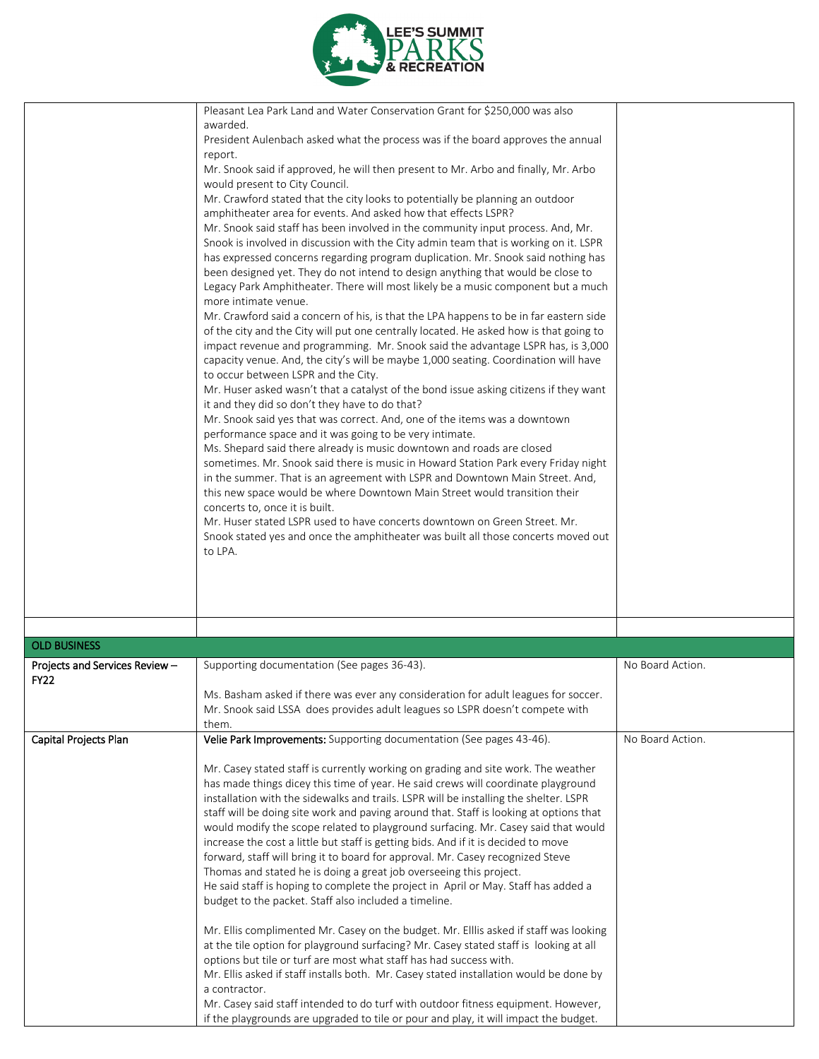

|                                | Pleasant Lea Park Land and Water Conservation Grant for \$250,000 was also<br>awarded.<br>President Aulenbach asked what the process was if the board approves the annual<br>report.<br>Mr. Snook said if approved, he will then present to Mr. Arbo and finally, Mr. Arbo<br>would present to City Council.<br>Mr. Crawford stated that the city looks to potentially be planning an outdoor<br>amphitheater area for events. And asked how that effects LSPR?<br>Mr. Snook said staff has been involved in the community input process. And, Mr.<br>Snook is involved in discussion with the City admin team that is working on it. LSPR<br>has expressed concerns regarding program duplication. Mr. Snook said nothing has<br>been designed yet. They do not intend to design anything that would be close to<br>Legacy Park Amphitheater. There will most likely be a music component but a much<br>more intimate venue.<br>Mr. Crawford said a concern of his, is that the LPA happens to be in far eastern side<br>of the city and the City will put one centrally located. He asked how is that going to<br>impact revenue and programming. Mr. Snook said the advantage LSPR has, is 3,000<br>capacity venue. And, the city's will be maybe 1,000 seating. Coordination will have<br>to occur between LSPR and the City.<br>Mr. Huser asked wasn't that a catalyst of the bond issue asking citizens if they want<br>it and they did so don't they have to do that?<br>Mr. Snook said yes that was correct. And, one of the items was a downtown<br>performance space and it was going to be very intimate.<br>Ms. Shepard said there already is music downtown and roads are closed<br>sometimes. Mr. Snook said there is music in Howard Station Park every Friday night<br>in the summer. That is an agreement with LSPR and Downtown Main Street. And,<br>this new space would be where Downtown Main Street would transition their<br>concerts to, once it is built.<br>Mr. Huser stated LSPR used to have concerts downtown on Green Street. Mr.<br>Snook stated yes and once the amphitheater was built all those concerts moved out<br>to LPA. |                  |
|--------------------------------|-----------------------------------------------------------------------------------------------------------------------------------------------------------------------------------------------------------------------------------------------------------------------------------------------------------------------------------------------------------------------------------------------------------------------------------------------------------------------------------------------------------------------------------------------------------------------------------------------------------------------------------------------------------------------------------------------------------------------------------------------------------------------------------------------------------------------------------------------------------------------------------------------------------------------------------------------------------------------------------------------------------------------------------------------------------------------------------------------------------------------------------------------------------------------------------------------------------------------------------------------------------------------------------------------------------------------------------------------------------------------------------------------------------------------------------------------------------------------------------------------------------------------------------------------------------------------------------------------------------------------------------------------------------------------------------------------------------------------------------------------------------------------------------------------------------------------------------------------------------------------------------------------------------------------------------------------------------------------------------------------------------------------------------------------------------------------------------------------------------------------------------------------------------------|------------------|
|                                |                                                                                                                                                                                                                                                                                                                                                                                                                                                                                                                                                                                                                                                                                                                                                                                                                                                                                                                                                                                                                                                                                                                                                                                                                                                                                                                                                                                                                                                                                                                                                                                                                                                                                                                                                                                                                                                                                                                                                                                                                                                                                                                                                                 |                  |
|                                |                                                                                                                                                                                                                                                                                                                                                                                                                                                                                                                                                                                                                                                                                                                                                                                                                                                                                                                                                                                                                                                                                                                                                                                                                                                                                                                                                                                                                                                                                                                                                                                                                                                                                                                                                                                                                                                                                                                                                                                                                                                                                                                                                                 |                  |
| <b>OLD BUSINESS</b>            |                                                                                                                                                                                                                                                                                                                                                                                                                                                                                                                                                                                                                                                                                                                                                                                                                                                                                                                                                                                                                                                                                                                                                                                                                                                                                                                                                                                                                                                                                                                                                                                                                                                                                                                                                                                                                                                                                                                                                                                                                                                                                                                                                                 |                  |
| Projects and Services Review - | Supporting documentation (See pages 36-43).                                                                                                                                                                                                                                                                                                                                                                                                                                                                                                                                                                                                                                                                                                                                                                                                                                                                                                                                                                                                                                                                                                                                                                                                                                                                                                                                                                                                                                                                                                                                                                                                                                                                                                                                                                                                                                                                                                                                                                                                                                                                                                                     | No Board Action. |
| <b>FY22</b>                    |                                                                                                                                                                                                                                                                                                                                                                                                                                                                                                                                                                                                                                                                                                                                                                                                                                                                                                                                                                                                                                                                                                                                                                                                                                                                                                                                                                                                                                                                                                                                                                                                                                                                                                                                                                                                                                                                                                                                                                                                                                                                                                                                                                 |                  |
|                                | Ms. Basham asked if there was ever any consideration for adult leagues for soccer.<br>Mr. Snook said LSSA does provides adult leagues so LSPR doesn't compete with<br>them.                                                                                                                                                                                                                                                                                                                                                                                                                                                                                                                                                                                                                                                                                                                                                                                                                                                                                                                                                                                                                                                                                                                                                                                                                                                                                                                                                                                                                                                                                                                                                                                                                                                                                                                                                                                                                                                                                                                                                                                     |                  |
| Capital Projects Plan          | Velie Park Improvements: Supporting documentation (See pages 43-46).                                                                                                                                                                                                                                                                                                                                                                                                                                                                                                                                                                                                                                                                                                                                                                                                                                                                                                                                                                                                                                                                                                                                                                                                                                                                                                                                                                                                                                                                                                                                                                                                                                                                                                                                                                                                                                                                                                                                                                                                                                                                                            | No Board Action. |
|                                | Mr. Casey stated staff is currently working on grading and site work. The weather<br>has made things dicey this time of year. He said crews will coordinate playground<br>installation with the sidewalks and trails. LSPR will be installing the shelter. LSPR<br>staff will be doing site work and paving around that. Staff is looking at options that<br>would modify the scope related to playground surfacing. Mr. Casey said that would<br>increase the cost a little but staff is getting bids. And if it is decided to move<br>forward, staff will bring it to board for approval. Mr. Casey recognized Steve<br>Thomas and stated he is doing a great job overseeing this project.                                                                                                                                                                                                                                                                                                                                                                                                                                                                                                                                                                                                                                                                                                                                                                                                                                                                                                                                                                                                                                                                                                                                                                                                                                                                                                                                                                                                                                                                    |                  |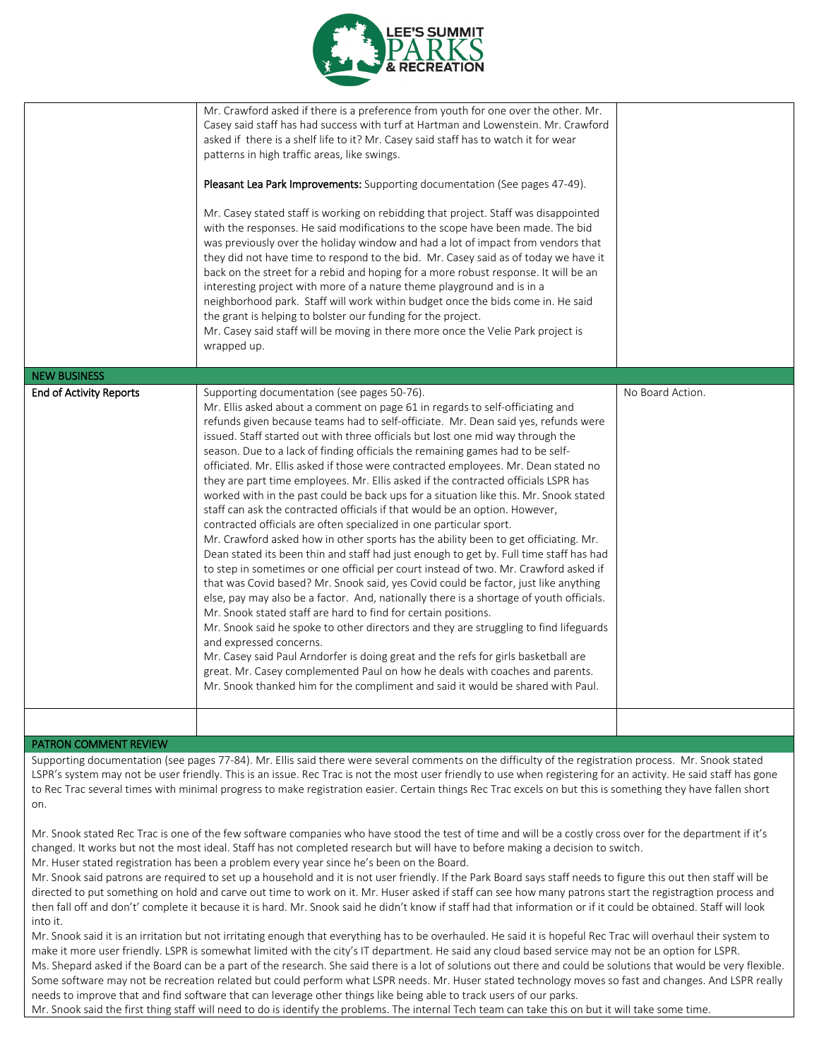

|                                | Mr. Crawford asked if there is a preference from youth for one over the other. Mr.<br>Casey said staff has had success with turf at Hartman and Lowenstein. Mr. Crawford<br>asked if there is a shelf life to it? Mr. Casey said staff has to watch it for wear<br>patterns in high traffic areas, like swings.<br>Pleasant Lea Park Improvements: Supporting documentation (See pages 47-49).<br>Mr. Casey stated staff is working on rebidding that project. Staff was disappointed                                                                                                                                                                                                                                                                                                                                                                                                                                                                                                                                                                                                                                                                                                                                                                                                                                                                                                                                                                                                                                                                                                                                                                                                                                        |                  |
|--------------------------------|------------------------------------------------------------------------------------------------------------------------------------------------------------------------------------------------------------------------------------------------------------------------------------------------------------------------------------------------------------------------------------------------------------------------------------------------------------------------------------------------------------------------------------------------------------------------------------------------------------------------------------------------------------------------------------------------------------------------------------------------------------------------------------------------------------------------------------------------------------------------------------------------------------------------------------------------------------------------------------------------------------------------------------------------------------------------------------------------------------------------------------------------------------------------------------------------------------------------------------------------------------------------------------------------------------------------------------------------------------------------------------------------------------------------------------------------------------------------------------------------------------------------------------------------------------------------------------------------------------------------------------------------------------------------------------------------------------------------------|------------------|
|                                | with the responses. He said modifications to the scope have been made. The bid<br>was previously over the holiday window and had a lot of impact from vendors that<br>they did not have time to respond to the bid. Mr. Casey said as of today we have it<br>back on the street for a rebid and hoping for a more robust response. It will be an<br>interesting project with more of a nature theme playground and is in a<br>neighborhood park. Staff will work within budget once the bids come in. He said<br>the grant is helping to bolster our funding for the project.<br>Mr. Casey said staff will be moving in there more once the Velie Park project is<br>wrapped up.                                                                                                                                                                                                                                                                                                                                                                                                                                                                                                                                                                                                                                                                                                                                                                                                                                                                                                                                                                                                                                             |                  |
| <b>NEW BUSINESS</b>            |                                                                                                                                                                                                                                                                                                                                                                                                                                                                                                                                                                                                                                                                                                                                                                                                                                                                                                                                                                                                                                                                                                                                                                                                                                                                                                                                                                                                                                                                                                                                                                                                                                                                                                                              |                  |
| <b>End of Activity Reports</b> | Supporting documentation (see pages 50-76).<br>Mr. Ellis asked about a comment on page 61 in regards to self-officiating and<br>refunds given because teams had to self-officiate. Mr. Dean said yes, refunds were<br>issued. Staff started out with three officials but lost one mid way through the<br>season. Due to a lack of finding officials the remaining games had to be self-<br>officiated. Mr. Ellis asked if those were contracted employees. Mr. Dean stated no<br>they are part time employees. Mr. Ellis asked if the contracted officials LSPR has<br>worked with in the past could be back ups for a situation like this. Mr. Snook stated<br>staff can ask the contracted officials if that would be an option. However,<br>contracted officials are often specialized in one particular sport.<br>Mr. Crawford asked how in other sports has the ability been to get officiating. Mr.<br>Dean stated its been thin and staff had just enough to get by. Full time staff has had<br>to step in sometimes or one official per court instead of two. Mr. Crawford asked if<br>that was Covid based? Mr. Snook said, yes Covid could be factor, just like anything<br>else, pay may also be a factor. And, nationally there is a shortage of youth officials.<br>Mr. Snook stated staff are hard to find for certain positions.<br>Mr. Snook said he spoke to other directors and they are struggling to find lifeguards<br>and expressed concerns.<br>Mr. Casey said Paul Arndorfer is doing great and the refs for girls basketball are<br>great. Mr. Casey complemented Paul on how he deals with coaches and parents.<br>Mr. Snook thanked him for the compliment and said it would be shared with Paul. | No Board Action. |
|                                |                                                                                                                                                                                                                                                                                                                                                                                                                                                                                                                                                                                                                                                                                                                                                                                                                                                                                                                                                                                                                                                                                                                                                                                                                                                                                                                                                                                                                                                                                                                                                                                                                                                                                                                              |                  |

### PATRON COMMENT REVIEW

Supporting documentation (see pages 77-84). Mr. Ellis said there were several comments on the difficulty of the registration process. Mr. Snook stated LSPR's system may not be user friendly. This is an issue. Rec Trac is not the most user friendly to use when registering for an activity. He said staff has gone to Rec Trac several times with minimal progress to make registration easier. Certain things Rec Trac excels on but this is something they have fallen short on.

Mr. Snook stated Rec Trac is one of the few software companies who have stood the test of time and will be a costly cross over for the department if it's changed. It works but not the most ideal. Staff has not completed research but will have to before making a decision to switch.

Mr. Huser stated registration has been a problem every year since he's been on the Board.

Mr. Snook said patrons are required to set up a household and it is not user friendly. If the Park Board says staff needs to figure this out then staff will be directed to put something on hold and carve out time to work on it. Mr. Huser asked if staff can see how many patrons start the registragtion process and then fall off and don't' complete it because it is hard. Mr. Snook said he didn't know if staff had that information or if it could be obtained. Staff will look into it.

Mr. Snook said it is an irritation but not irritating enough that everything has to be overhauled. He said it is hopeful Rec Trac will overhaul their system to make it more user friendly. LSPR is somewhat limited with the city's IT department. He said any cloud based service may not be an option for LSPR. Ms. Shepard asked if the Board can be a part of the research. She said there is a lot of solutions out there and could be solutions that would be very flexible. Some software may not be recreation related but could perform what LSPR needs. Mr. Huser stated technology moves so fast and changes. And LSPR really needs to improve that and find software that can leverage other things like being able to track users of our parks.

Mr. Snook said the first thing staff will need to do is identify the problems. The internal Tech team can take this on but it will take some time.